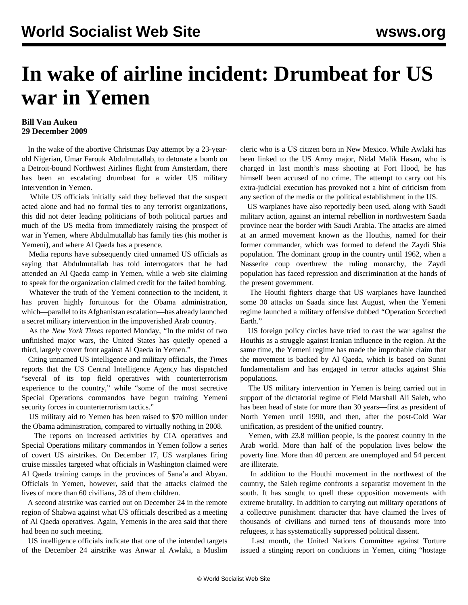## **In wake of airline incident: Drumbeat for US war in Yemen**

## **Bill Van Auken 29 December 2009**

 In the wake of the abortive Christmas Day attempt by a 23-yearold Nigerian, Umar Farouk Abdulmutallab, to detonate a bomb on a Detroit-bound Northwest Airlines flight from Amsterdam, there has been an escalating drumbeat for a wider US military intervention in Yemen.

 While US officials initially said they believed that the suspect acted alone and had no formal ties to any terrorist organizations, this did not deter leading politicians of both political parties and much of the US media from immediately raising the prospect of war in Yemen, where Abdulmutallab has family ties (his mother is Yemeni), and where Al Qaeda has a presence.

 Media reports have subsequently cited unnamed US officials as saying that Abdulmutallab has told interrogators that he had attended an Al Qaeda camp in Yemen, while a web site claiming to speak for the organization claimed credit for the failed bombing.

 Whatever the truth of the Yemeni connection to the incident, it has proven highly fortuitous for the Obama administration, which—parallel to its Afghanistan escalation—has already launched a secret military intervention in the impoverished Arab country.

 As the *New York Times* reported Monday, "In the midst of two unfinished major wars, the United States has quietly opened a third, largely covert front against Al Qaeda in Yemen."

 Citing unnamed US intelligence and military officials, the *Times* reports that the US Central Intelligence Agency has dispatched "several of its top field operatives with counterterrorism experience to the country," while "some of the most secretive Special Operations commandos have begun training Yemeni security forces in counterterrorism tactics."

 US military aid to Yemen has been raised to \$70 million under the Obama administration, compared to virtually nothing in 2008.

 The reports on increased activities by CIA operatives and Special Operations military commandos in Yemen follow a series of covert US airstrikes. On December 17, US warplanes firing cruise missiles targeted what officials in Washington claimed were Al Qaeda training camps in the provinces of Sana'a and Abyan. Officials in Yemen, however, said that the attacks claimed the lives of more than 60 civilians, 28 of them children.

 A second airstrike was carried out on December 24 in the remote region of Shabwa against what US officials described as a meeting of Al Qaeda operatives. Again, Yemenis in the area said that there had been no such meeting.

 US intelligence officials indicate that one of the intended targets of the December 24 airstrike was Anwar al Awlaki, a Muslim cleric who is a US citizen born in New Mexico. While Awlaki has been linked to the US Army major, Nidal Malik Hasan, who is charged in last month's mass shooting at Fort Hood, he has himself been accused of no crime. The attempt to carry out his extra-judicial execution has provoked not a hint of criticism from any section of the media or the political establishment in the US.

 US warplanes have also reportedly been used, along with Saudi military action, against an internal rebellion in northwestern Saada province near the border with Saudi Arabia. The attacks are aimed at an armed movement known as the Houthis, named for their former commander, which was formed to defend the Zaydi Shia population. The dominant group in the country until 1962, when a Nasserite coup overthrew the ruling monarchy, the Zaydi population has faced repression and discrimination at the hands of the present government.

 The Houthi fighters charge that US warplanes have launched some 30 attacks on Saada since last August, when the Yemeni regime launched a military offensive dubbed "Operation Scorched Earth."

 US foreign policy circles have tried to cast the war against the Houthis as a struggle against Iranian influence in the region. At the same time, the Yemeni regime has made the improbable claim that the movement is backed by Al Qaeda, which is based on Sunni fundamentalism and has engaged in terror attacks against Shia populations.

 The US military intervention in Yemen is being carried out in support of the dictatorial regime of Field Marshall Ali Saleh, who has been head of state for more than 30 years—first as president of North Yemen until 1990, and then, after the post-Cold War unification, as president of the unified country.

 Yemen, with 23.8 million people, is the poorest country in the Arab world. More than half of the population lives below the poverty line. More than 40 percent are unemployed and 54 percent are illiterate.

 In addition to the Houthi movement in the northwest of the country, the Saleh regime confronts a separatist movement in the south. It has sought to quell these opposition movements with extreme brutality. In addition to carrying out military operations of a collective punishment character that have claimed the lives of thousands of civilians and turned tens of thousands more into refugees, it has systematically suppressed political dissent.

 Last month, the United Nations Committee against Torture issued a stinging report on conditions in Yemen, citing "hostage